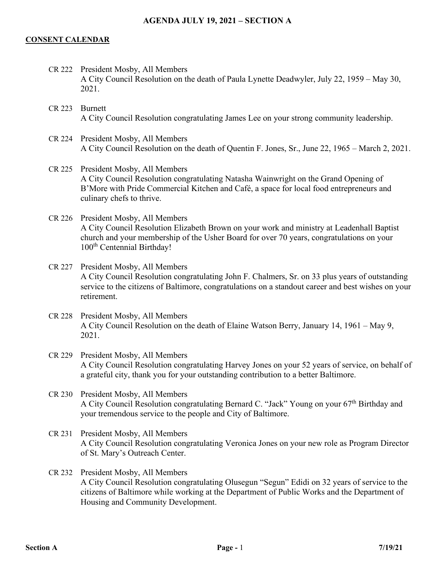### **CONSENT CALENDAR**

- CR 222 President Mosby, All Members A City Council Resolution on the death of Paula Lynette Deadwyler, July 22, 1959 – May 30, 2021.
- CR 223 Burnett A City Council Resolution congratulating James Lee on your strong community leadership.
- CR 224 President Mosby, All Members A City Council Resolution on the death of Quentin F. Jones, Sr., June 22, 1965 – March 2, 2021.
- CR 225 President Mosby, All Members A City Council Resolution congratulating Natasha Wainwright on the Grand Opening of B'More with Pride Commercial Kitchen and Café, a space for local food entrepreneurs and culinary chefs to thrive.
- CR 226 President Mosby, All Members A City Council Resolution Elizabeth Brown on your work and ministry at Leadenhall Baptist church and your membership of the Usher Board for over 70 years, congratulations on your 100<sup>th</sup> Centennial Birthday!
- CR 227 President Mosby, All Members A City Council Resolution congratulating John F. Chalmers, Sr. on 33 plus years of outstanding service to the citizens of Baltimore, congratulations on a standout career and best wishes on your retirement.
- CR 228 President Mosby, All Members A City Council Resolution on the death of Elaine Watson Berry, January 14, 1961 – May 9, 2021.
- CR 229 President Mosby, All Members A City Council Resolution congratulating Harvey Jones on your 52 years of service, on behalf of a grateful city, thank you for your outstanding contribution to a better Baltimore.
- CR 230 President Mosby, All Members A City Council Resolution congratulating Bernard C. "Jack" Young on your 67<sup>th</sup> Birthday and your tremendous service to the people and City of Baltimore.
- CR 231 President Mosby, All Members A City Council Resolution congratulating Veronica Jones on your new role as Program Director of St. Mary's Outreach Center.
- CR 232 President Mosby, All Members A City Council Resolution congratulating Olusegun "Segun" Edidi on 32 years of service to the citizens of Baltimore while working at the Department of Public Works and the Department of Housing and Community Development.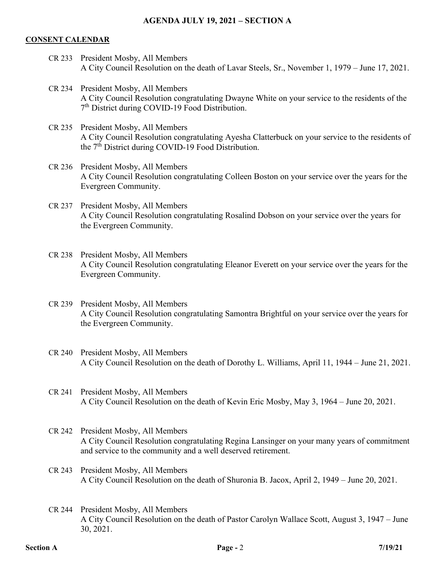### **CONSENT CALENDAR**

- CR 233 President Mosby, All Members A City Council Resolution on the death of Lavar Steels, Sr., November 1, 1979 – June 17, 2021.
- CR 234 President Mosby, All Members A City Council Resolution congratulating Dwayne White on your service to the residents of the 7th District during COVID-19 Food Distribution.
- CR 235 President Mosby, All Members A City Council Resolution congratulating Ayesha Clatterbuck on your service to the residents of the  $7<sup>th</sup>$  District during COVID-19 Food Distribution.
- CR 236 President Mosby, All Members A City Council Resolution congratulating Colleen Boston on your service over the years for the Evergreen Community.
- CR 237 President Mosby, All Members A City Council Resolution congratulating Rosalind Dobson on your service over the years for the Evergreen Community.
- CR 238 President Mosby, All Members A City Council Resolution congratulating Eleanor Everett on your service over the years for the Evergreen Community.
- CR 239 President Mosby, All Members A City Council Resolution congratulating Samontra Brightful on your service over the years for the Evergreen Community.
- CR 240 President Mosby, All Members A City Council Resolution on the death of Dorothy L. Williams, April 11, 1944 – June 21, 2021.
- CR 241 President Mosby, All Members A City Council Resolution on the death of Kevin Eric Mosby, May 3, 1964 – June 20, 2021.
- CR 242 President Mosby, All Members A City Council Resolution congratulating Regina Lansinger on your many years of commitment and service to the community and a well deserved retirement.
- CR 243 President Mosby, All Members A City Council Resolution on the death of Shuronia B. Jacox, April 2, 1949 – June 20, 2021.
- CR 244 President Mosby, All Members A City Council Resolution on the death of Pastor Carolyn Wallace Scott, August 3, 1947 – June 30, 2021.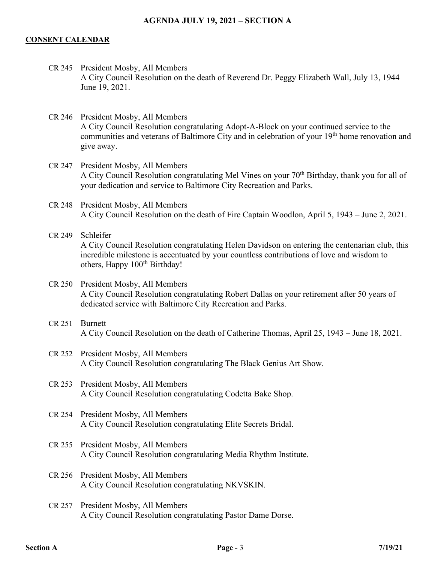### **CONSENT CALENDAR**

- CR 245 President Mosby, All Members A City Council Resolution on the death of Reverend Dr. Peggy Elizabeth Wall, July 13, 1944 – June 19, 2021.
- CR 246 President Mosby, All Members A City Council Resolution congratulating Adopt-A-Block on your continued service to the communities and veterans of Baltimore City and in celebration of your 19<sup>th</sup> home renovation and give away.
- CR 247 President Mosby, All Members A City Council Resolution congratulating Mel Vines on your 70<sup>th</sup> Birthday, thank you for all of your dedication and service to Baltimore City Recreation and Parks.
- CR 248 President Mosby, All Members A City Council Resolution on the death of Fire Captain Woodlon, April 5, 1943 – June 2, 2021.
- CR 249 Schleifer A City Council Resolution congratulating Helen Davidson on entering the centenarian club, this incredible milestone is accentuated by your countless contributions of love and wisdom to others, Happy 100<sup>th</sup> Birthday!

# CR 250 President Mosby, All Members A City Council Resolution congratulating Robert Dallas on your retirement after 50 years of dedicated service with Baltimore City Recreation and Parks.

CR 251 Burnett A City Council Resolution on the death of Catherine Thomas, April 25, 1943 – June 18, 2021.

### CR 252 President Mosby, All Members A City Council Resolution congratulating The Black Genius Art Show.

CR 253 President Mosby, All Members A City Council Resolution congratulating Codetta Bake Shop.

# CR 254 President Mosby, All Members A City Council Resolution congratulating Elite Secrets Bridal.

- CR 255 President Mosby, All Members A City Council Resolution congratulating Media Rhythm Institute.
- CR 256 President Mosby, All Members A City Council Resolution congratulating NKVSKIN.

# CR 257 President Mosby, All Members A City Council Resolution congratulating Pastor Dame Dorse.